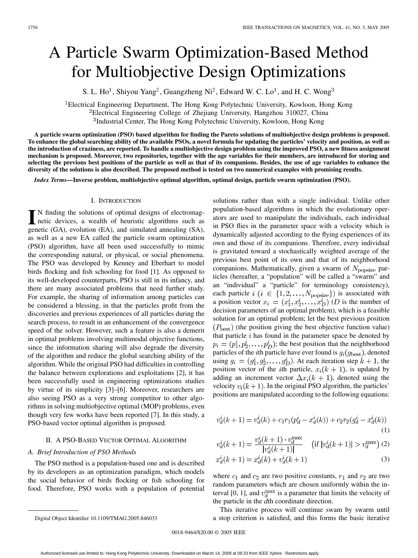# A Particle Swarm Optimization-Based Method for Multiobjective Design Optimizations

S. L. Ho<sup>1</sup>, Shiyou Yang<sup>2</sup>, Guangzheng Ni<sup>2</sup>, Edward W. C. Lo<sup>1</sup>, and H. C. Wong<sup>3</sup>

Electrical Engineering Department, The Hong Kong Polytechnic University, Kowloon, Hong Kong Electrical Engineering College of Zhejiang University, Hangzhou 310027, China <sup>3</sup>Industrial Center, The Hong Kong Polytechnic University, Kowloon, Hong Kong

**A particle swarm optimization (PSO) based algorithm for finding the Pareto solutions of multiobjective design problems is proposed. To enhance the global searching ability of the available PSOs, a novel formula for updating the particles' velocity and position, as well as the introduction of craziness, are reported. To handle a multiobjective design problem using the improved PSO, a new fitness assignment mechanism is proposed. Moreover, two repositories, together with the age variables for their members, are introduced for storing and selecting the previous best positions of the particle as well as that of its companions. Besides, the use of age variables to enhance the diversity of the solutions is also described. The proposed method is tested on two numerical examples with promising results.**

*Index Terms—***Inverse problem, multiobjective optimal algorithm, optimal design, particle swarm optimization (PSO).**

## I. INTRODUCTION

**I** N finding the solutions of optimal designs of electromagnetic devices, a wealth of heuristic algorithms such as genetic (GA), evolution (EA), and simulated annealing (SA), as well as a new EA called the particle swarm optimization (PSO) algorithm, have all been used successfully to mimic the corresponding natural, or physical, or social phenomena. The PSO was developed by Kenney and Eberhart to model birds flocking and fish schooling for food [\[1](#page-3-0)]. As opposed to its well-developed counterparts, PSO is still in its infancy, and there are many associated problems that need further study. For example, the sharing of information among particles can be considered a blessing, in that the particles profit from the discoveries and previous experiences of all particles during the search process, to result in an enhancement of the convergence speed of the solver. However, such a feature is also a demerit in optimal problems involving multimodal objective functions, since the information sharing will also degrade the diversity of the algorithm and reduce the global searching ability of the algorithm. While the original PSO had difficulties in controlling the balance between explorations and exploitations [\[2](#page-3-0)], it has been successfully used in engineering optimizations studies by virtue of its simplicity [\[3](#page-3-0)]–[\[6](#page-3-0)]. Moreover, researchers are also seeing PSO as a very strong competitor to other algorithms in solving multiobjective optimal (MOP) problems, even though very few works have been reported [[7\]](#page-3-0). In this study, a PSO-based vector optimal algorithm is proposed.

## II. A PSO-BASED VECTOR OPTIMAL ALGORITHM

## *A. Brief Introduction of PSO Methods*

The PSO method is a population-based one and is described by its developers as an optimization paradigm, which models the social behavior of birds flocking or fish schooling for food. Therefore, PSO works with a population of potential

solutions rather than with a single individual. Unlike other population-based algorithms in which the evolutionary operators are used to manipulate the individuals, each individual in PSO flies in the parameter space with a velocity which is dynamically adjusted according to the flying experiences of its own and those of its companions. Therefore, every individual is gravitated toward a stochastically weighted average of the previous best point of its own and that of its neighborhood companions. Mathematically, given a swarm of  $N_{\text{popsize}}$  particles (hereafter, a "population" will be called a "swarm" and an "individual" a "particle" for terminology consistency), each particle  $i$  ( $i \in \{1, 2, ..., N_{\text{popsize}}\}\)$  is associated with a position vector  $x_i = (x_1^i, x_2^i, \dots, x_D^i)$  (*D* is the number of decision parameters of an optimal problem), which is a feasible solution for an optimal problem; let the best previous position  $(P_{\text{best}})$  (the position giving the best objective function value) that particle  $i$  has found in the parameter space be denoted by  $p_i = (p_1^i, p_2^i, \dots, p_D^i)$ ; the best position that the neighborhood particles of the *i*th particle have ever found is  $g_i(g_{\text{best}})$ , denoted using  $g_i = (g_1^i, g_2^i, \dots, g_D^i)$ . At each iteration step  $k + 1$ , the position vector of the *i*th particle,  $x_i(k + 1)$ , is updated by adding an increment vector  $\Delta x_i(k + 1)$ , denoted using the velocity  $v_i(k+1)$ . In the original PSO algorithm, the particles' positions are manipulated according to the following equations:

$$
v_d^i(k+1) = v_d^i(k) + c_1 r_1 (p_d^i - x_d^i(k)) + c_2 r_2 (g_d^i - x_d^i(k))
$$
\n(1)

$$
v_d^i(k+1) = \frac{v_d^i(k+1) \cdot v_d^{\text{max}}}{|v_d^i(k+1)|} \quad \text{(if } |v_d^i(k+1)| > v_d^{\text{max}} \text{)} \text{ (2)}
$$

$$
x_d^i(k+1) = x_d^i(k) + v_d^i(k+1)
$$
\n(3)

where  $c_1$  and  $c_2$  are two positive constants,  $r_1$  and  $r_2$  are two random parameters which are chosen uniformly within the interval [0, 1], and  $v_d^{\text{max}}$  is a parameter that limits the velocity of the particle in the  $d$ th coordinate direction.

This iterative process will continue swam by swarm until a stop criterion is satisfied, and this forms the basic iterative

0018-9464/\$20.00 © 2005 IEEE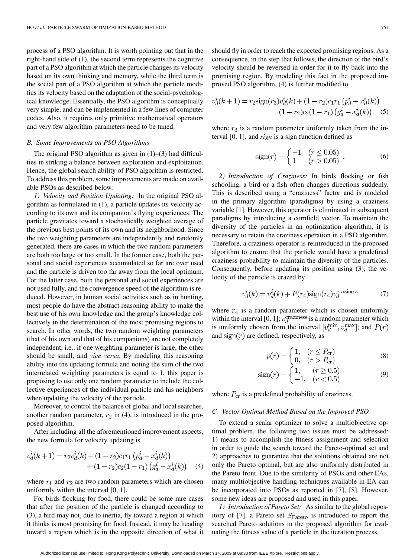process of a PSO algorithm. It is worth pointing out that in the right-hand side of (1), the second term represents the cognitive part of a PSO algorithm at which the particle changes its velocity based on its own thinking and memory, while the third term is the social part of a PSO algorithm at which the particle modifies its velocity based on the adaptation of the social-psychological knowledge. Essentially, the PSO algorithm is conceptually very simple, and can be implemented in a few lines of computer codes. Also, it requires only primitive mathematical operators and very few algorithm parameters need to be tuned.

#### *B. Some Improvements on PSO Algorithms*

The original PSO algorithm as given in  $(1)$ – $(3)$  had difficulties in striking a balance between exploration and exploitation. Hence, the global search ability of PSO algorithm is restricted. To address this problem, some improvements are made on available PSOs as described below.

*1) Velocity and Position Updating:* In the original PSO algorithm as formulated in (1), a particle updates its velocity according to its own and its companion's flying experiences. The particle gravitates toward a stochastically weighted average of the previous best points of its own and its neighborhood. Since the two weighting parameters are independently and randomly generated, there are cases in which the two random parameters are both too large or too small. In the former case, both the personal and social experiences accumulated so far are over used and the particle is driven too far away from the local optimum. For the latter case, both the personal and social experiences are not used fully, and the convergence speed of the algorithm is reduced. However, in human social activities such as in hunting, most people do have the abstract reasoning ability to make the best use of his own knowledge and the group's knowledge collectively in the determination of the most promising regions to search. In other words, the two random weighting parameters (that of his own and that of his companions) are not completely independent, i.e., if one weighting parameter is large, the other should be small, and *vice versa*. By modeling this reasoning ability into the updating formula and noting the sum of the two interrelated weighting parameters is equal to 1, this paper is proposing to use only one random parameter to include the collective experiences of the individual particle and his neighbors when updating the velocity of the particle.

Moreover, to control the balance of global and local searches, another random parameter,  $r_2$  in (4), is introduced in the proposed algorithm.

After including all the aforementioned improvement aspects, the new formula for velocity updating is

$$
v_d^i(k+1) = r_2 v_d^i(k) + (1-r_2)c_1r_1 (p_d^i - x_d^i(k)) + (1-r_2)c_2(1-r_1) (g_d^i - x_d^i(k))
$$
 (4)

where  $r_1$  and  $r_2$  are two random parameters which are chosen uniformly within the interval [0, 1].

For birds flocking for food, there could be some rare cases that after the position of the particle is changed according to (3), a bird may not, due to inertia, fly toward a region at which it thinks is most promising for food. Instead, it may be heading toward a region which is in the opposite direction of what it should fly in order to reach the expected promising regions. As a consequence, in the step that follows, the direction of the bird's velocity should be reversed in order for it to fly back into the promising region. By modeling this fact in the proposed improved PSO algorithm, (4) is further modified to

$$
v_d^i(k+1) = r_2 \text{sign}(r_3) v_d^i(k) + (1 - r_2)c_1 r_1 (p_d^i - x_d^i(k))
$$
  
 
$$
+ (1 - r_2)c_2(1 - r_1) (g_d^i - x_d^i(k))
$$
 (5)

where  $r_3$  is a random parameter uniformly taken from the interval [0, 1], and *sign* is a sign function defined as

$$
sign(r) = \begin{cases} -1 & (r \le 0.05) \\ 1 & (r > 0.05) \end{cases} . \tag{6}
$$

*2) Introduction of Craziness:* In birds flocking or fish schooling, a bird or a fish often changes directions suddenly. This is described using a "craziness" factor and is modeled in the primary algorithm (paradigms) by using a craziness variable [[1\]](#page-3-0). However, this operator is eliminated in subsequent paradigms by introducing a cornfield vector. To maintain the diversity of the particles in an optimization algorithm, it is necessary to retain the craziness operation in a PSO algorithm. Therefore, a craziness operator is reintroduced in the proposed algorithm to ensure that the particle would have a predefined craziness probability to maintain the diversity of the particles. Consequently, before updating its position using (3), the velocity of the particle is crazed by

$$
v_d^i(k) = v_d^i(k) + P(r_4)\text{sign}(r_4)v_d^{\text{craziness}} \tag{7}
$$

where  $r_4$  is a random parameter which is chosen uniformly within the interval [0, 1];  $v_d^{\text{craziness}}$  is a random parameter which is uniformly chosen from the interval  $[v_d^{\text{min}}, v_d^{\text{max}}]$ ; and  $P(r)$ and  $sign(r)$  are defined, respectively, as

$$
p(r) = \begin{cases} 1, & (r \le P_{\text{cr}}) \\ 0, & (r > P_{\text{cr}}) \end{cases}
$$
 (8)

sign(r) = 
$$
\begin{cases} 1, & (r \ge 0.5) \\ -1, & (r < 0.5) \end{cases}
$$
(9)

where  $P_{cr}$  is a predefined probability of craziness.

# *C. Vector Optimal Method Based on the Improved PSO*

To extend a scalar optimizer to solve a multiobjective optimal problem, the following two issues must be addressed: 1) means to accomplish the fitness assignment and selection in order to guide the search toward the Pareto-optimal set and 2) approaches to guarantee that the solutions obtained are not only the Pareto optimal, but are also uniformly distributed in the Pareto front. Due to the similarity of PSOs and other EAs, many multiobjective handling techniques available in EA can be incorporated into PSOs as reported in [[7\]](#page-3-0), [\[8](#page-3-0)]. However, some new ideas are proposed and used in this paper.

*1) Introduction of Pareto Set:* As similar to the global repos-itory of [\[7](#page-3-0)], a Pareto set  $S_{\text{Pareto}}$  is introduced to report the searched Pareto solutions in the proposed algorithm for evaluating the fitness value of a particle in the iteration process.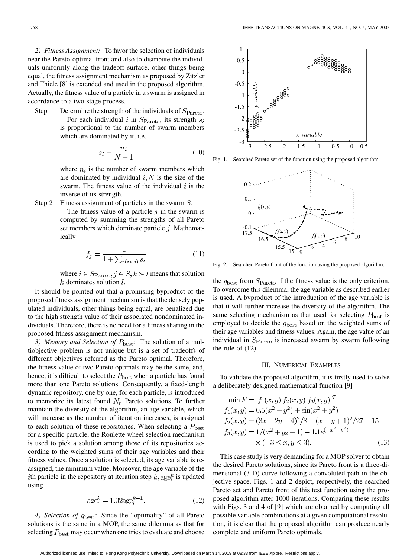*2) Fitness Assignment:* To favor the selection of individuals near the Pareto-optimal front and also to distribute the individuals uniformly along the tradeoff surface, other things being equal, the fitness assignment mechanism as proposed by Zitzler and Thiele [\[8](#page-3-0)] is extended and used in the proposed algorithm. Actually, the fitness value of a particle in a swarm is assigned in accordance to a two-stage process.

Step 1 Determine the strength of the individuals of  $S_{\text{Pareto}}$ . For each individual i in  $S_{\text{Pareto}}$ , its strength  $s_i$ is proportional to the number of swarm members which are dominated by it, i.e.

$$
s_i = \frac{n_i}{N+1} \tag{10}
$$

where  $n_i$  is the number of swarm members which are dominated by individual  $i, N$  is the size of the swarm. The fitness value of the individual  $i$  is the inverse of its strength.

Step 2 Fitness assignment of particles in the swarm  $S$ .

The fitness value of a particle  $j$  in the swarm is computed by summing the strengths of all Pareto set members which dominate particle  $j$ . Mathematically

$$
f_j = \frac{1}{1 + \sum_{i \, (i \succ j)} s_i} \tag{11}
$$

where  $i \in S_{\text{Pareto}}$ ,  $j \in S, k \succ l$  means that solution  $k$  dominates solution  $l$ .

It should be pointed out that a promising byproduct of the proposed fitness assignment mechanism is that the densely populated individuals, other things being equal, are penalized due to the high strength value of their associated nondominated individuals. Therefore, there is no need for a fitness sharing in the proposed fitness assignment mechanism.

*3) Memory and Selection of P*<sub>best</sub>: The solution of a multiobjective problem is not unique but is a set of tradeoffs of different objectives referred as the Pareto optimal. Therefore, the fitness value of two Pareto optimals may be the same, and, hence, it is difficult to select the  $P_{\text{best}}$  when a particle has found more than one Pareto solutions. Consequently, a fixed-length dynamic repository, one by one, for each particle, is introduced to memorize its latest found  $N_p$  Pareto solutions. To further maintain the diversity of the algorithm, an age variable, which will increase as the number of iteration increases, is assigned to each solution of these repositories. When selecting a  $P_{\text{best}}$ for a specific particle, the Roulette wheel selection mechanism is used to pick a solution among those of its repositories according to the weighted sums of their age variables and their fitness values. Once a solution is selected, its age variable is reassigned, the minimum value. Moreover, the age variable of the *i*th particle in the repository at iteration step  $k$ , age<sup> $k$ </sup> is updated using

$$
age_i^k = 1.02age_i^{k-1}.\tag{12}
$$

4) Selection of  $g_{\text{best}}$ : Since the "optimality" of all Pareto solutions is the same in a MOP, the same dilemma as that for selecting  $P_{\text{best}}$  may occur when one tries to evaluate and choose



Fig. 1. Searched Pareto set of the function using the proposed algorithm.



Fig. 2. Searched Pareto front of the function using the proposed algorithm.

the  $g_{\text{best}}$  from  $S_{\text{Pareto}}$  if the fitness value is the only criterion. To overcome this dilemma, the age variable as described earlier is used. A byproduct of the introduction of the age variable is that it will further increase the diversity of the algorithm. The same selecting mechanism as that used for selecting  $P_{\text{best}}$  is employed to decide the  $g_{\text{best}}$  based on the weighted sums of their age variables and fitness values. Again, the age value of an individual in  $S_{\text{Pareto}}$  is increased swarm by swarm following the rule of (12).

#### III. NUMERICAL EXAMPLES

To validate the proposed algorithm, it is firstly used to solve a deliberately designed mathematical function [[9\]](#page-3-0)

$$
\min F = [f_1(x, y) f_2(x, y) f_3(x, y)]^T \nf_1(x, y) = 0.5(x^2 + y^2) + \sin(x^2 + y^2) \nf_2(x, y) = (3x - 2y + 4)^2/8 + (x - y + 1)^2/27 + 15 \nf_3(x, y) = 1/(x^2 + y_2 + 1) - 1.1e^{(-x^2 - y^2)} \times (-3 \le x, y \le 3).
$$
\n(13)

This case study is very demanding for a MOP solver to obtain the desired Pareto solutions, since its Pareto front is a three-dimensional (3-D) curve following a convoluted path in the objective space. Figs. 1 and 2 depict, respectively, the searched Pareto set and Pareto front of this test function using the proposed algorithm after 1000 iterations. Comparing these results with Figs. 3 and 4 of [[9\]](#page-3-0) which are obtained by computing all possible variable combinations at a given computational resolution, it is clear that the proposed algorithm can produce nearly complete and uniform Pareto optimals.